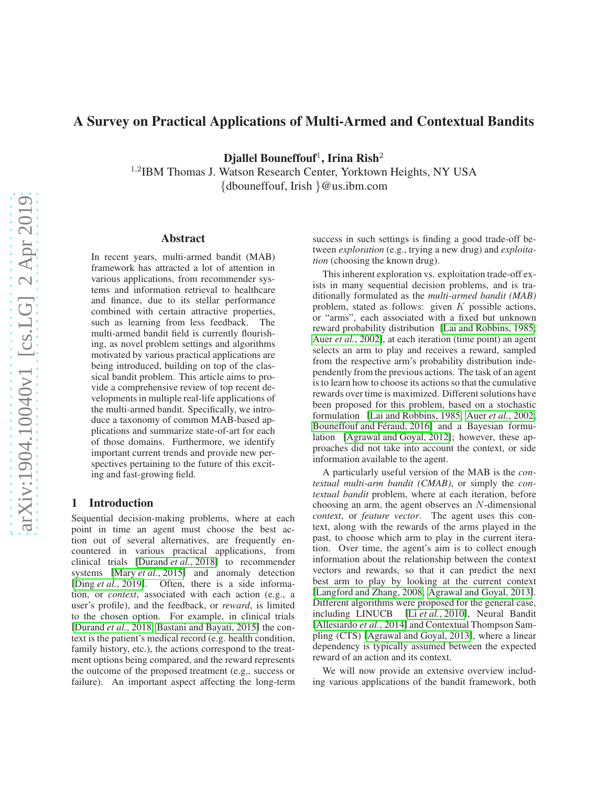# A Survey on Practical Applications of Multi-Armed and Contextual Bandits

Djallel Bouneffouf<sup>1</sup>, Irina Rish<sup>2</sup>

1,2IBM Thomas J. Watson Research Center, Yorktown Heights, NY USA {dbouneffouf, Irish }@us.ibm.com

#### Abstract

In recent years, multi-armed bandit (MAB) framework has attracted a lot of attention in various applications, from recommender systems and information retrieval to healthcare and finance, due to its stellar performance combined with certain attractive properties, such as learning from less feedback. The multi-armed bandit field is currently flourishing, as novel problem settings and algorithms motivated by various practical applications are being introduced, building on top of the classical bandit problem. This article aims to provide a comprehensive review of top recent developments in multiple real-life applications of the multi-armed bandit. Specifically, we introduce a taxonomy of common MAB-based applications and summarize state-of-art for each of those domains. Furthermore, we identify important current trends and provide new perspectives pertaining to the future of this exciting and fast-growing field.

### 1 Introduction

Sequential decision-making problems, where at each point in time an agent must choose the best action out of several alternatives, are frequently encountered in various practical applications, from clinical trials [\[Durand](#page-6-0) *et al.*, 2018] to recommender systems [Mary *et al.*[, 2015\]](#page-7-0) and anomaly detection [Ding *et al.*[, 2019\]](#page-6-1). Often, there is a side information, or *context*, associated with each action (e.g., a user's profile), and the feedback, or *reward*, is limited to the chosen option. For example, in clinical trials [\[Durand](#page-6-0) *et al.*, 2018; [Bastani and Bayati, 2015\]](#page-6-2) the context is the patient's medical record (e.g. health condition, family history, etc.), the actions correspond to the treatment options being compared, and the reward represents the outcome of the proposed treatment (e.g., success or failure). An important aspect affecting the long-term success in such settings is finding a good trade-off between *exploration* (e.g., trying a new drug) and *exploitation* (choosing the known drug).

This inherent exploration vs. exploitation trade-off exists in many sequential decision problems, and is traditionally formulated as the *multi-armed bandit (MAB)* problem, stated as follows: given  $K$  possible actions, or "arms", each associated with a fixed but unknown reward probability distribution [\[Lai and Robbins, 1985;](#page-6-3) Auer *et al.*[, 2002\]](#page-6-4), at each iteration (time point) an agent selects an arm to play and receives a reward, sampled from the respective arm's probability distribution independently from the previous actions. The task of an agent is to learn how to choose its actions so that the cumulative rewards over time is maximized. Different solutions have been proposed for this problem, based on a stochastic formulation [\[Lai and Robbins, 1985;](#page-6-3) Auer *et al.*[, 2002;](#page-6-4) Bouneffouf and Féraud, 2016] and a Bayesian formulation [\[Agrawal and Goyal, 2012\]](#page-6-6); however, these approaches did not take into account the context, or side information available to the agent.

A particularly useful version of the MAB is the *contextual multi-arm bandit (CMAB)*, or simply the *contextual bandit* problem, where at each iteration, before choosing an arm, the agent observes an N-dimensional *context*, or *feature vector*. The agent uses this context, along with the rewards of the arms played in the past, to choose which arm to play in the current iteration. Over time, the agent's aim is to collect enough information about the relationship between the context vectors and rewards, so that it can predict the next best arm to play by looking at the current context [\[Langford and Zhang, 2008;](#page-6-7) [Agrawal and Goyal, 2013\]](#page-6-8). Different algorithms were proposed for the general case, including LINUCB [Li *et al.*[, 2010\]](#page-7-1), Neural Bandit [\[Allesiardo](#page-6-9) *et al.*, 2014] and Contextual Thompson Sampling (CTS) [\[Agrawal and Goyal, 2013\]](#page-6-8), where a linear dependency is typically assumed between the expected reward of an action and its context.

We will now provide an extensive overview including various applications of the bandit framework, both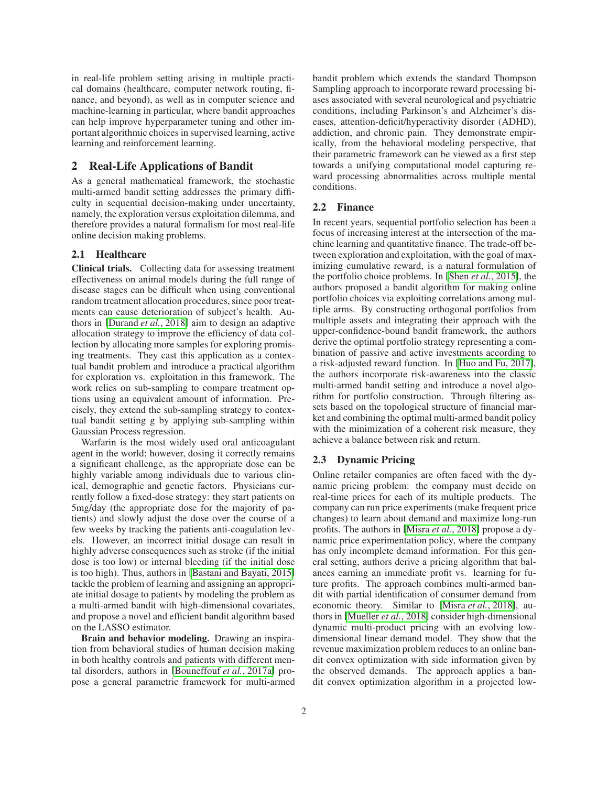in real-life problem setting arising in multiple practical domains (healthcare, computer network routing, finance, and beyond), as well as in computer science and machine-learning in particular, where bandit approaches can help improve hyperparameter tuning and other important algorithmic choices in supervised learning, active learning and reinforcement learning.

# 2 Real-Life Applications of Bandit

As a general mathematical framework, the stochastic multi-armed bandit setting addresses the primary difficulty in sequential decision-making under uncertainty, namely, the exploration versus exploitation dilemma, and therefore provides a natural formalism for most real-life online decision making problems.

### 2.1 Healthcare

Clinical trials. Collecting data for assessing treatment effectiveness on animal models during the full range of disease stages can be difficult when using conventional random treatment allocation procedures, since poor treatments can cause deterioration of subject's health. Authors in [\[Durand](#page-6-0) *et al.*, 2018] aim to design an adaptive allocation strategy to improve the efficiency of data collection by allocating more samples for exploring promising treatments. They cast this application as a contextual bandit problem and introduce a practical algorithm for exploration vs. exploitation in this framework. The work relies on sub-sampling to compare treatment options using an equivalent amount of information. Precisely, they extend the sub-sampling strategy to contextual bandit setting g by applying sub-sampling within Gaussian Process regression.

Warfarin is the most widely used oral anticoagulant agent in the world; however, dosing it correctly remains a significant challenge, as the appropriate dose can be highly variable among individuals due to various clinical, demographic and genetic factors. Physicians currently follow a fixed-dose strategy: they start patients on 5mg/day (the appropriate dose for the majority of patients) and slowly adjust the dose over the course of a few weeks by tracking the patients anti-coagulation levels. However, an incorrect initial dosage can result in highly adverse consequences such as stroke (if the initial dose is too low) or internal bleeding (if the initial dose is too high). Thus, authors in [\[Bastani and Bayati, 2015\]](#page-6-2) tackle the problem of learning and assigning an appropriate initial dosage to patients by modeling the problem as a multi-armed bandit with high-dimensional covariates, and propose a novel and efficient bandit algorithm based on the LASSO estimator.

Brain and behavior modeling. Drawing an inspiration from behavioral studies of human decision making in both healthy controls and patients with different mental disorders, authors in [\[Bouneffouf](#page-6-10) *et al.*, 2017a] propose a general parametric framework for multi-armed bandit problem which extends the standard Thompson Sampling approach to incorporate reward processing biases associated with several neurological and psychiatric conditions, including Parkinson's and Alzheimer's diseases, attention-deficit/hyperactivity disorder (ADHD), addiction, and chronic pain. They demonstrate empirically, from the behavioral modeling perspective, that their parametric framework can be viewed as a first step towards a unifying computational model capturing reward processing abnormalities across multiple mental conditions.

### 2.2 Finance

In recent years, sequential portfolio selection has been a focus of increasing interest at the intersection of the machine learning and quantitative finance. The trade-off between exploration and exploitation, with the goal of maximizing cumulative reward, is a natural formulation of the portfolio choice problems. In [Shen *et al.*[, 2015\]](#page-7-2), the authors proposed a bandit algorithm for making online portfolio choices via exploiting correlations among multiple arms. By constructing orthogonal portfolios from multiple assets and integrating their approach with the upper-confidence-bound bandit framework, the authors derive the optimal portfolio strategy representing a combination of passive and active investments according to a risk-adjusted reward function. In [\[Huo and Fu, 2017\]](#page-6-11), the authors incorporate risk-awareness into the classic multi-armed bandit setting and introduce a novel algorithm for portfolio construction. Through filtering assets based on the topological structure of financial market and combining the optimal multi-armed bandit policy with the minimization of a coherent risk measure, they achieve a balance between risk and return.

# 2.3 Dynamic Pricing

Online retailer companies are often faced with the dynamic pricing problem: the company must decide on real-time prices for each of its multiple products. The company can run price experiments (make frequent price changes) to learn about demand and maximize long-run profits. The authors in [Misra *et al.*[, 2018\]](#page-7-3) propose a dynamic price experimentation policy, where the company has only incomplete demand information. For this general setting, authors derive a pricing algorithm that balances earning an immediate profit vs. learning for future profits. The approach combines multi-armed bandit with partial identification of consumer demand from economic theory. Similar to [Misra *et al.*[, 2018\]](#page-7-3), authors in [\[Mueller](#page-7-4) *et al.*, 2018] consider high-dimensional dynamic multi-product pricing with an evolving lowdimensional linear demand model. They show that the revenue maximization problem reduces to an online bandit convex optimization with side information given by the observed demands. The approach applies a bandit convex optimization algorithm in a projected low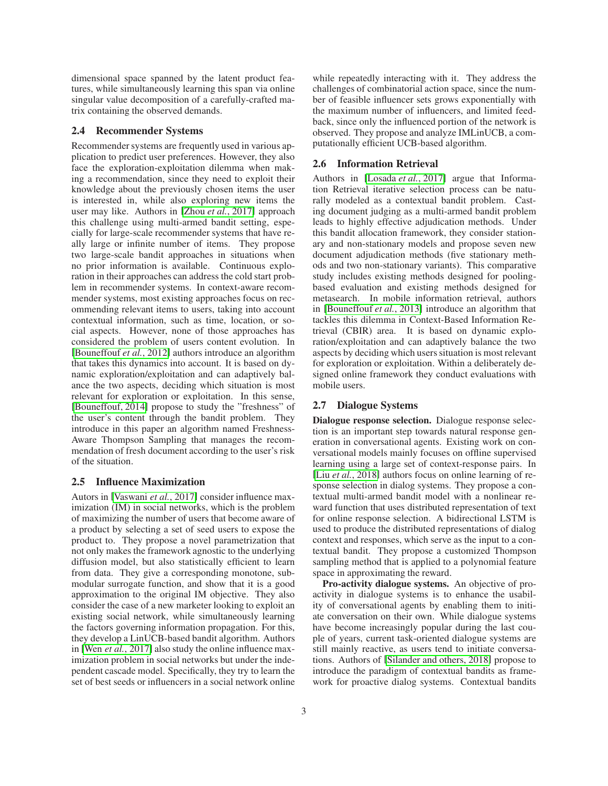dimensional space spanned by the latent product features, while simultaneously learning this span via online singular value decomposition of a carefully-crafted matrix containing the observed demands.

### 2.4 Recommender Systems

Recommender systems are frequently used in various application to predict user preferences. However, they also face the exploration-exploitation dilemma when making a recommendation, since they need to exploit their knowledge about the previously chosen items the user is interested in, while also exploring new items the user may like. Authors in [Zhou *et al.*[, 2017\]](#page-7-5) approach this challenge using multi-armed bandit setting, especially for large-scale recommender systems that have really large or infinite number of items. They propose two large-scale bandit approaches in situations when no prior information is available. Continuous exploration in their approaches can address the cold start problem in recommender systems. In context-aware recommender systems, most existing approaches focus on recommending relevant items to users, taking into account contextual information, such as time, location, or social aspects. However, none of those approaches has considered the problem of users content evolution. In [\[Bouneffouf](#page-6-12) *et al.*, 2012] authors introduce an algorithm that takes this dynamics into account. It is based on dynamic exploration/exploitation and can adaptively balance the two aspects, deciding which situation is most relevant for exploration or exploitation. In this sense, [\[Bouneffouf, 2014\]](#page-6-13) propose to study the "freshness" of the user's content through the bandit problem. They introduce in this paper an algorithm named Freshness-Aware Thompson Sampling that manages the recommendation of fresh document according to the user's risk of the situation.

#### 2.5 Influence Maximization

Autors in [\[Vaswani](#page-7-6) *et al.*, 2017] consider influence maximization (IM) in social networks, which is the problem of maximizing the number of users that become aware of a product by selecting a set of seed users to expose the product to. They propose a novel parametrization that not only makes the framework agnostic to the underlying diffusion model, but also statistically efficient to learn from data. They give a corresponding monotone, submodular surrogate function, and show that it is a good approximation to the original IM objective. They also consider the case of a new marketer looking to exploit an existing social network, while simultaneously learning the factors governing information propagation. For this, they develop a LinUCB-based bandit algorithm. Authors in [Wen *et al.*[, 2017\]](#page-7-7) also study the online influence maximization problem in social networks but under the independent cascade model. Specifically, they try to learn the set of best seeds or influencers in a social network online

3

while repeatedly interacting with it. They address the challenges of combinatorial action space, since the number of feasible influencer sets grows exponentially with the maximum number of influencers, and limited feedback, since only the influenced portion of the network is observed. They propose and analyze IMLinUCB, a computationally efficient UCB-based algorithm.

### 2.6 Information Retrieval

Authors in [\[Losada](#page-7-8) *et al.*, 2017] argue that Information Retrieval iterative selection process can be naturally modeled as a contextual bandit problem. Casting document judging as a multi-armed bandit problem leads to highly effective adjudication methods. Under this bandit allocation framework, they consider stationary and non-stationary models and propose seven new document adjudication methods (five stationary methods and two non-stationary variants). This comparative study includes existing methods designed for poolingbased evaluation and existing methods designed for metasearch. In mobile information retrieval, authors in [\[Bouneffouf](#page-6-14) *et al.*, 2013] introduce an algorithm that tackles this dilemma in Context-Based Information Retrieval (CBIR) area. It is based on dynamic exploration/exploitation and can adaptively balance the two aspects by deciding which users situation is most relevant for exploration or exploitation. Within a deliberately designed online framework they conduct evaluations with mobile users.

#### 2.7 Dialogue Systems

Dialogue response selection. Dialogue response selection is an important step towards natural response generation in conversational agents. Existing work on conversational models mainly focuses on offline supervised learning using a large set of context-response pairs. In [Liu *et al.*[, 2018\]](#page-7-9) authors focus on online learning of response selection in dialog systems. They propose a contextual multi-armed bandit model with a nonlinear reward function that uses distributed representation of text for online response selection. A bidirectional LSTM is used to produce the distributed representations of dialog context and responses, which serve as the input to a contextual bandit. They propose a customized Thompson sampling method that is applied to a polynomial feature space in approximating the reward.

Pro-activity dialogue systems. An objective of proactivity in dialogue systems is to enhance the usability of conversational agents by enabling them to initiate conversation on their own. While dialogue systems have become increasingly popular during the last couple of years, current task-oriented dialogue systems are still mainly reactive, as users tend to initiate conversations. Authors of [\[Silander and others, 2018\]](#page-7-10) propose to introduce the paradigm of contextual bandits as framework for proactive dialog systems. Contextual bandits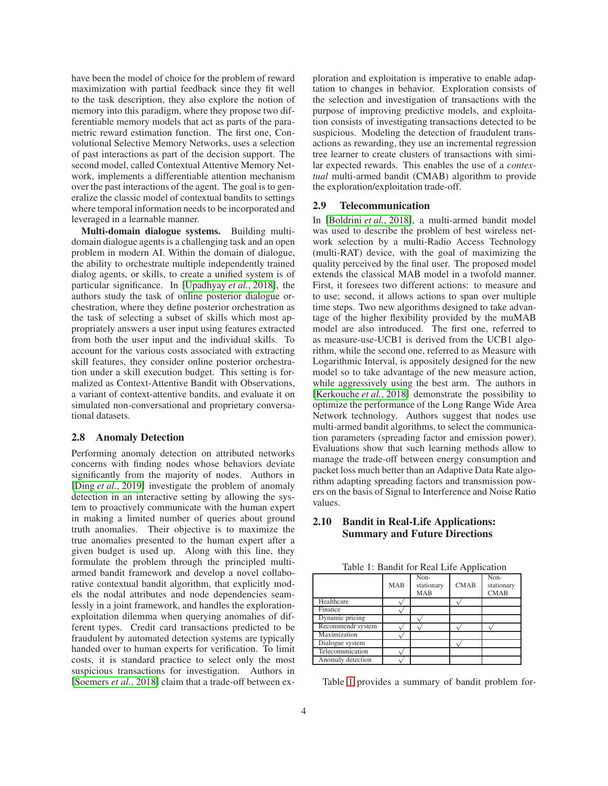have been the model of choice for the problem of reward maximization with partial feedback since they fit well to the task description, they also explore the notion of memory into this paradigm, where they propose two differentiable memory models that act as parts of the parametric reward estimation function. The first one, Convolutional Selective Memory Networks, uses a selection of past interactions as part of the decision support. The second model, called Contextual Attentive Memory Network, implements a differentiable attention mechanism over the past interactions of the agent. The goal is to generalize the classic model of contextual bandits to settings where temporal information needs to be incorporated and leveraged in a learnable manner.

Multi-domain dialogue systems. Building multidomain dialogue agents is a challenging task and an open problem in modern AI. Within the domain of dialogue, the ability to orchestrate multiple independently trained dialog agents, or skills, to create a unified system is of particular significance. In [\[Upadhyay](#page-7-11) *et al.*, 2018], the authors study the task of online posterior dialogue orchestration, where they define posterior orchestration as the task of selecting a subset of skills which most appropriately answers a user input using features extracted from both the user input and the individual skills. To account for the various costs associated with extracting skill features, they consider online posterior orchestration under a skill execution budget. This setting is formalized as Context-Attentive Bandit with Observations, a variant of context-attentive bandits, and evaluate it on simulated non-conversational and proprietary conversational datasets.

#### 2.8 Anomaly Detection

Performing anomaly detection on attributed networks concerns with finding nodes whose behaviors deviate significantly from the majority of nodes. Authors in [Ding *et al.*[, 2019\]](#page-6-1) investigate the problem of anomaly detection in an interactive setting by allowing the system to proactively communicate with the human expert in making a limited number of queries about ground truth anomalies. Their objective is to maximize the true anomalies presented to the human expert after a given budget is used up. Along with this line, they formulate the problem through the principled multiarmed bandit framework and develop a novel collaborative contextual bandit algorithm, that explicitly models the nodal attributes and node dependencies seamlessly in a joint framework, and handles the explorationexploitation dilemma when querying anomalies of different types. Credit card transactions predicted to be fraudulent by automated detection systems are typically handed over to human experts for verification. To limit costs, it is standard practice to select only the most suspicious transactions for investigation. Authors in [\[Soemers](#page-7-12) *et al.*, 2018] claim that a trade-off between exploration and exploitation is imperative to enable adaptation to changes in behavior. Exploration consists of the selection and investigation of transactions with the purpose of improving predictive models, and exploitation consists of investigating transactions detected to be suspicious. Modeling the detection of fraudulent transactions as rewarding, they use an incremental regression tree learner to create clusters of transactions with similar expected rewards. This enables the use of a *contextual* multi-armed bandit (CMAB) algorithm to provide the exploration/exploitation trade-off.

### 2.9 Telecommunication

In [\[Boldrini](#page-6-15) *et al.*, 2018], a multi-armed bandit model was used to describe the problem of best wireless network selection by a multi-Radio Access Technology (multi-RAT) device, with the goal of maximizing the quality perceived by the final user. The proposed model extends the classical MAB model in a twofold manner. First, it foresees two different actions: to measure and to use; second, it allows actions to span over multiple time steps. Two new algorithms designed to take advantage of the higher flexibility provided by the muMAB model are also introduced. The first one, referred to as measure-use-UCB1 is derived from the UCB1 algorithm, while the second one, referred to as Measure with Logarithmic Interval, is appositely designed for the new model so to take advantage of the new measure action, while aggressively using the best arm. The authors in [\[Kerkouche](#page-6-16) *et al.*, 2018] demonstrate the possibility to optimize the performance of the Long Range Wide Area Network technology. Authors suggest that nodes use multi-armed bandit algorithms, to select the communication parameters (spreading factor and emission power). Evaluations show that such learning methods allow to manage the trade-off between energy consumption and packet loss much better than an Adaptive Data Rate algorithm adapting spreading factors and transmission powers on the basis of Signal to Interference and Noise Ratio values.

# 2.10 Bandit in Real-Life Applications: Summary and Future Directions

|                   | <b>MAB</b> | Non-<br>stationary<br>MAB | <b>CMAB</b> | $\overline{\text{Non}}$<br>stationary<br><b>CMAB</b> |
|-------------------|------------|---------------------------|-------------|------------------------------------------------------|
| Healthcare        |            |                           |             |                                                      |
| Finance           |            |                           |             |                                                      |
| Dynamic pricing   |            |                           |             |                                                      |
| Recommendr system |            |                           |             |                                                      |
| Maximization      |            |                           |             |                                                      |
| Dialogue system   |            |                           |             |                                                      |
| Telecomunication  |            |                           |             |                                                      |

<span id="page-3-0"></span>Table 1: Bandit for Real Life Application

Table [1](#page-3-0) provides a summary of bandit problem for-

Anomaly detection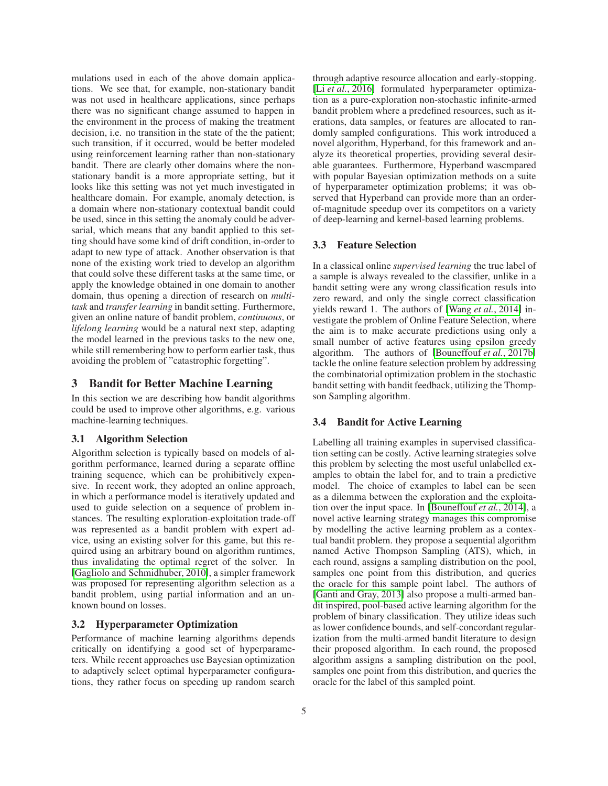mulations used in each of the above domain applications. We see that, for example, non-stationary bandit was not used in healthcare applications, since perhaps there was no significant change assumed to happen in the environment in the process of making the treatment decision, i.e. no transition in the state of the the patient; such transition, if it occurred, would be better modeled using reinforcement learning rather than non-stationary bandit. There are clearly other domains where the nonstationary bandit is a more appropriate setting, but it looks like this setting was not yet much investigated in healthcare domain. For example, anomaly detection, is a domain where non-stationary contextual bandit could be used, since in this setting the anomaly could be adversarial, which means that any bandit applied to this setting should have some kind of drift condition, in-order to adapt to new type of attack. Another observation is that none of the existing work tried to develop an algorithm that could solve these different tasks at the same time, or apply the knowledge obtained in one domain to another domain, thus opening a direction of research on *multitask* and *transfer learning* in bandit setting. Furthermore, given an online nature of bandit problem, *continuous*, or *lifelong learning* would be a natural next step, adapting the model learned in the previous tasks to the new one, while still remembering how to perform earlier task, thus avoiding the problem of "catastrophic forgetting".

### 3 Bandit for Better Machine Learning

In this section we are describing how bandit algorithms could be used to improve other algorithms, e.g. various machine-learning techniques.

#### 3.1 Algorithm Selection

Algorithm selection is typically based on models of algorithm performance, learned during a separate offline training sequence, which can be prohibitively expensive. In recent work, they adopted an online approach, in which a performance model is iteratively updated and used to guide selection on a sequence of problem instances. The resulting exploration-exploitation trade-off was represented as a bandit problem with expert advice, using an existing solver for this game, but this required using an arbitrary bound on algorithm runtimes, thus invalidating the optimal regret of the solver. In [\[Gagliolo and Schmidhuber, 2010\]](#page-6-17), a simpler framework was proposed for representing algorithm selection as a bandit problem, using partial information and an unknown bound on losses.

# 3.2 Hyperparameter Optimization

Performance of machine learning algorithms depends critically on identifying a good set of hyperparameters. While recent approaches use Bayesian optimization to adaptively select optimal hyperparameter configurations, they rather focus on speeding up random search through adaptive resource allocation and early-stopping. [Li *et al.*[, 2016\]](#page-7-13) formulated hyperparameter optimization as a pure-exploration non-stochastic infinite-armed bandit problem where a predefined resources, such as iterations, data samples, or features are allocated to randomly sampled configurations. This work introduced a novel algorithm, Hyperband, for this framework and analyze its theoretical properties, providing several desirable guarantees. Furthermore, Hyperband wascmpared with popular Bayesian optimization methods on a suite of hyperparameter optimization problems; it was observed that Hyperband can provide more than an orderof-magnitude speedup over its competitors on a variety of deep-learning and kernel-based learning problems.

### 3.3 Feature Selection

In a classical online *supervised learning* the true label of a sample is always revealed to the classifier, unlike in a bandit setting were any wrong classification resuls into zero reward, and only the single correct classification yields reward 1. The authors of [Wang *et al.*[, 2014\]](#page-7-14) investigate the problem of Online Feature Selection, where the aim is to make accurate predictions using only a small number of active features using epsilon greedy algorithm. The authors of [\[Bouneffouf](#page-6-18) *et al.*, 2017b] tackle the online feature selection problem by addressing the combinatorial optimization problem in the stochastic bandit setting with bandit feedback, utilizing the Thompson Sampling algorithm.

#### 3.4 Bandit for Active Learning

Labelling all training examples in supervised classification setting can be costly. Active learning strategies solve this problem by selecting the most useful unlabelled examples to obtain the label for, and to train a predictive model. The choice of examples to label can be seen as a dilemma between the exploration and the exploitation over the input space. In [\[Bouneffouf](#page-6-19) *et al.*, 2014], a novel active learning strategy manages this compromise by modelling the active learning problem as a contextual bandit problem. they propose a sequential algorithm named Active Thompson Sampling (ATS), which, in each round, assigns a sampling distribution on the pool, samples one point from this distribution, and queries the oracle for this sample point label. The authors of [\[Ganti and Gray, 2013\]](#page-6-20) also propose a multi-armed bandit inspired, pool-based active learning algorithm for the problem of binary classification. They utilize ideas such as lower confidence bounds, and self-concordant regularization from the multi-armed bandit literature to design their proposed algorithm. In each round, the proposed algorithm assigns a sampling distribution on the pool, samples one point from this distribution, and queries the oracle for the label of this sampled point.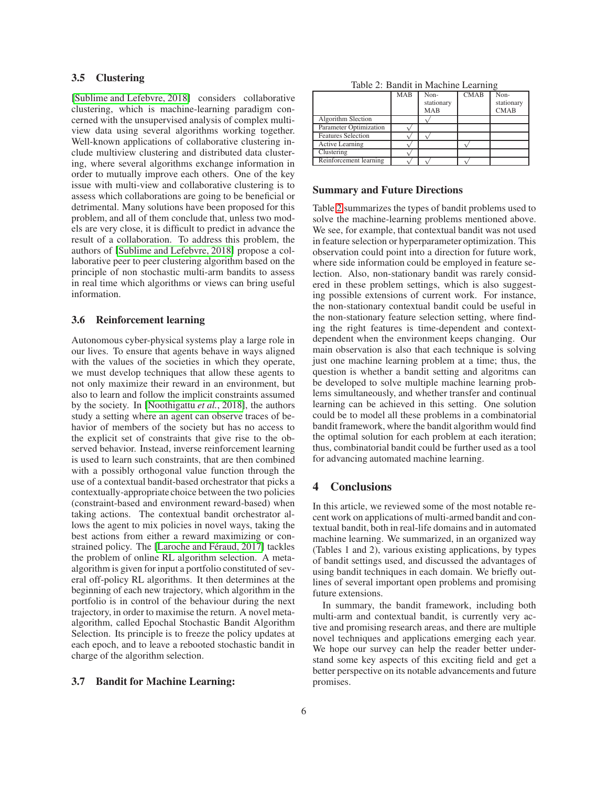#### 3.5 Clustering

[\[Sublime and Lefebvre, 2018\]](#page-7-15) considers collaborative clustering, which is machine-learning paradigm concerned with the unsupervised analysis of complex multiview data using several algorithms working together. Well-known applications of collaborative clustering include multiview clustering and distributed data clustering, where several algorithms exchange information in order to mutually improve each others. One of the key issue with multi-view and collaborative clustering is to assess which collaborations are going to be beneficial or detrimental. Many solutions have been proposed for this problem, and all of them conclude that, unless two models are very close, it is difficult to predict in advance the result of a collaboration. To address this problem, the authors of [\[Sublime and Lefebvre, 2018\]](#page-7-15) propose a collaborative peer to peer clustering algorithm based on the principle of non stochastic multi-arm bandits to assess in real time which algorithms or views can bring useful information.

### 3.6 Reinforcement learning

Autonomous cyber-physical systems play a large role in our lives. To ensure that agents behave in ways aligned with the values of the societies in which they operate, we must develop techniques that allow these agents to not only maximize their reward in an environment, but also to learn and follow the implicit constraints assumed by the society. In [\[Noothigattu](#page-7-16) *et al.*, 2018], the authors study a setting where an agent can observe traces of behavior of members of the society but has no access to the explicit set of constraints that give rise to the observed behavior. Instead, inverse reinforcement learning is used to learn such constraints, that are then combined with a possibly orthogonal value function through the use of a contextual bandit-based orchestrator that picks a contextually-appropriate choice between the two policies (constraint-based and environment reward-based) when taking actions. The contextual bandit orchestrator allows the agent to mix policies in novel ways, taking the best actions from either a reward maximizing or constrained policy. The [Laroche and Féraud, 2017] tackles the problem of online RL algorithm selection. A metaalgorithm is given for input a portfolio constituted of several off-policy RL algorithms. It then determines at the beginning of each new trajectory, which algorithm in the portfolio is in control of the behaviour during the next trajectory, in order to maximise the return. A novel metaalgorithm, called Epochal Stochastic Bandit Algorithm Selection. Its principle is to freeze the policy updates at each epoch, and to leave a rebooted stochastic bandit in charge of the algorithm selection.

### 3.7 Bandit for Machine Learning:

<span id="page-5-0"></span>

|  | Table 2: Bandit in Machine Learning |  |  |
|--|-------------------------------------|--|--|
|--|-------------------------------------|--|--|

|                           | <b>MAB</b> | $\overline{\text{Non}}$<br>stationary<br><b>MAB</b> | <b>CMAB</b> | Non-<br>stationary<br><b>CMAB</b> |
|---------------------------|------------|-----------------------------------------------------|-------------|-----------------------------------|
| <b>Algorithm Slection</b> |            |                                                     |             |                                   |
| Parameter Optimization    |            |                                                     |             |                                   |
| <b>Features Selection</b> |            |                                                     |             |                                   |
| Active Learning           |            |                                                     |             |                                   |
| Clustering                |            |                                                     |             |                                   |
| Reinforcement learning    |            |                                                     |             |                                   |

#### Summary and Future Directions

Table [2](#page-5-0) summarizes the types of bandit problems used to solve the machine-learning problems mentioned above. We see, for example, that contextual bandit was not used in feature selection or hyperparameter optimization. This observation could point into a direction for future work, where side information could be employed in feature selection. Also, non-stationary bandit was rarely considered in these problem settings, which is also suggesting possible extensions of current work. For instance, the non-stationary contextual bandit could be useful in the non-stationary feature selection setting, where finding the right features is time-dependent and contextdependent when the environment keeps changing. Our main observation is also that each technique is solving just one machine learning problem at a time; thus, the question is whether a bandit setting and algoritms can be developed to solve multiple machine learning problems simultaneously, and whether transfer and continual learning can be achieved in this setting. One solution could be to model all these problems in a combinatorial bandit framework, where the bandit algorithm would find the optimal solution for each problem at each iteration; thus, combinatorial bandit could be further used as a tool for advancing automated machine learning.

# 4 Conclusions

In this article, we reviewed some of the most notable recent work on applications of multi-armed bandit and contextual bandit, both in real-life domains and in automated machine learning. We summarized, in an organized way (Tables 1 and 2), various existing applications, by types of bandit settings used, and discussed the advantages of using bandit techniques in each domain. We briefly outlines of several important open problems and promising future extensions.

In summary, the bandit framework, including both multi-arm and contextual bandit, is currently very active and promising research areas, and there are multiple novel techniques and applications emerging each year. We hope our survey can help the reader better understand some key aspects of this exciting field and get a better perspective on its notable advancements and future promises.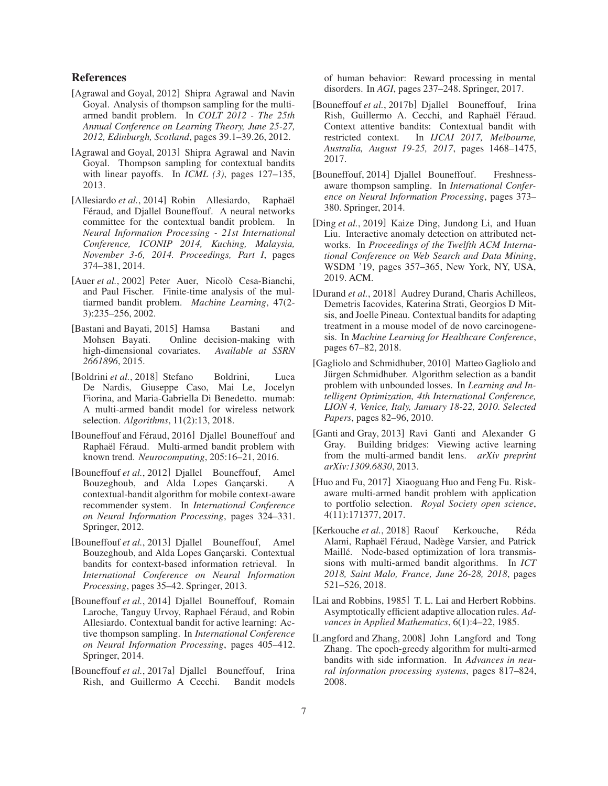# References

- <span id="page-6-6"></span>[Agrawal and Goyal, 2012] Shipra Agrawal and Navin Goyal. Analysis of thompson sampling for the multiarmed bandit problem. In *COLT 2012 - The 25th Annual Conference on Learning Theory, June 25-27, 2012, Edinburgh, Scotland*, pages 39.1–39.26, 2012.
- <span id="page-6-8"></span>[Agrawal and Goyal, 2013] Shipra Agrawal and Navin Goyal. Thompson sampling for contextual bandits with linear payoffs. In *ICML (3)*, pages 127–135, 2013.
- <span id="page-6-9"></span>[Allesiardo *et al.*, 2014] Robin Allesiardo, Raphaël Féraud, and Djallel Bouneffouf. A neural networks committee for the contextual bandit problem. In *Neural Information Processing - 21st International Conference, ICONIP 2014, Kuching, Malaysia, November 3-6, 2014. Proceedings, Part I*, pages 374–381, 2014.
- <span id="page-6-4"></span>[Auer *et al.*, 2002] Peter Auer, Nicolò Cesa-Bianchi, and Paul Fischer. Finite-time analysis of the multiarmed bandit problem. *Machine Learning*, 47(2- 3):235–256, 2002.
- <span id="page-6-2"></span>[Bastani and Bayati, 2015] Hamsa Bastani and Mohsen Bayati. Online decision-making with high-dimensional covariates. *Available at SSRN 2661896*, 2015.
- <span id="page-6-15"></span>[Boldrini et al., 2018] Stefano Boldrini, Luca De Nardis, Giuseppe Caso, Mai Le, Jocelyn Fiorina, and Maria-Gabriella Di Benedetto. mumab: A multi-armed bandit model for wireless network selection. *Algorithms*, 11(2):13, 2018.
- <span id="page-6-5"></span>[Bouneffouf and Féraud, 2016] Djallel Bouneffouf and Raphaël Féraud. Multi-armed bandit problem with known trend. *Neurocomputing*, 205:16–21, 2016.
- <span id="page-6-12"></span>[Bouneffouf *et al.*, 2012] Djallel Bouneffouf, Amel Bouzeghoub, and Alda Lopes Gançarski. A contextual-bandit algorithm for mobile context-aware recommender system. In *International Conference on Neural Information Processing*, pages 324–331. Springer, 2012.
- <span id="page-6-14"></span>[Bouneffouf *et al.*, 2013] Djallel Bouneffouf, Amel Bouzeghoub, and Alda Lopes Gançarski. Contextual bandits for context-based information retrieval. In *International Conference on Neural Information Processing*, pages 35–42. Springer, 2013.
- <span id="page-6-19"></span>[Bouneffouf *et al.*, 2014] Djallel Bouneffouf, Romain Laroche, Tanguy Urvoy, Raphael Féraud, and Robin Allesiardo. Contextual bandit for active learning: Active thompson sampling. In *International Conference on Neural Information Processing*, pages 405–412. Springer, 2014.
- <span id="page-6-10"></span>[Bouneffouf *et al.*, 2017a] Djallel Bouneffouf, Irina Rish, and Guillermo A Cecchi. Bandit models

of human behavior: Reward processing in mental disorders. In *AGI*, pages 237–248. Springer, 2017.

- <span id="page-6-18"></span>[Bouneffouf *et al.*, 2017b] Djallel Bouneffouf, Irina Rish, Guillermo A. Cecchi, and Raphaël Féraud. Context attentive bandits: Contextual bandit with restricted context. In *IJCAI 2017, Melbourne, Australia, August 19-25, 2017*, pages 1468–1475, 2017.
- <span id="page-6-13"></span>[Bouneffouf, 2014] Djallel Bouneffouf. Freshnessaware thompson sampling. In *International Conference on Neural Information Processing*, pages 373– 380. Springer, 2014.
- <span id="page-6-1"></span>[Ding *et al.*, 2019] Kaize Ding, Jundong Li, and Huan Liu. Interactive anomaly detection on attributed networks. In *Proceedings of the Twelfth ACM International Conference on Web Search and Data Mining*, WSDM '19, pages 357–365, New York, NY, USA, 2019. ACM.
- <span id="page-6-0"></span>[Durand *et al.*, 2018] Audrey Durand, Charis Achilleos, Demetris Iacovides, Katerina Strati, Georgios D Mitsis, and Joelle Pineau. Contextual bandits for adapting treatment in a mouse model of de novo carcinogenesis. In *Machine Learning for Healthcare Conference*, pages 67–82, 2018.
- <span id="page-6-17"></span>[Gagliolo and Schmidhuber, 2010] Matteo Gagliolo and Jürgen Schmidhuber. Algorithm selection as a bandit problem with unbounded losses. In *Learning and Intelligent Optimization, 4th International Conference, LION 4, Venice, Italy, January 18-22, 2010. Selected Papers*, pages 82–96, 2010.
- <span id="page-6-20"></span>[Ganti and Gray, 2013] Ravi Ganti and Alexander G Gray. Building bridges: Viewing active learning from the multi-armed bandit lens. *arXiv preprint arXiv:1309.6830*, 2013.
- <span id="page-6-11"></span>[Huo and Fu, 2017] Xiaoguang Huo and Feng Fu. Riskaware multi-armed bandit problem with application to portfolio selection. *Royal Society open science*, 4(11):171377, 2017.
- <span id="page-6-16"></span>[Kerkouche *et al.*, 2018] Raouf Kerkouche, Réda Alami, Raphaël Féraud, Nadège Varsier, and Patrick Maillé. Node-based optimization of lora transmissions with multi-armed bandit algorithms. In *ICT 2018, Saint Malo, France, June 26-28, 2018*, pages 521–526, 2018.
- <span id="page-6-3"></span>[Lai and Robbins, 1985] T. L. Lai and Herbert Robbins. Asymptotically efficient adaptive allocation rules. *Advances in Applied Mathematics*, 6(1):4–22, 1985.
- <span id="page-6-7"></span>[Langford and Zhang, 2008] John Langford and Tong Zhang. The epoch-greedy algorithm for multi-armed bandits with side information. In *Advances in neural information processing systems*, pages 817–824, 2008.